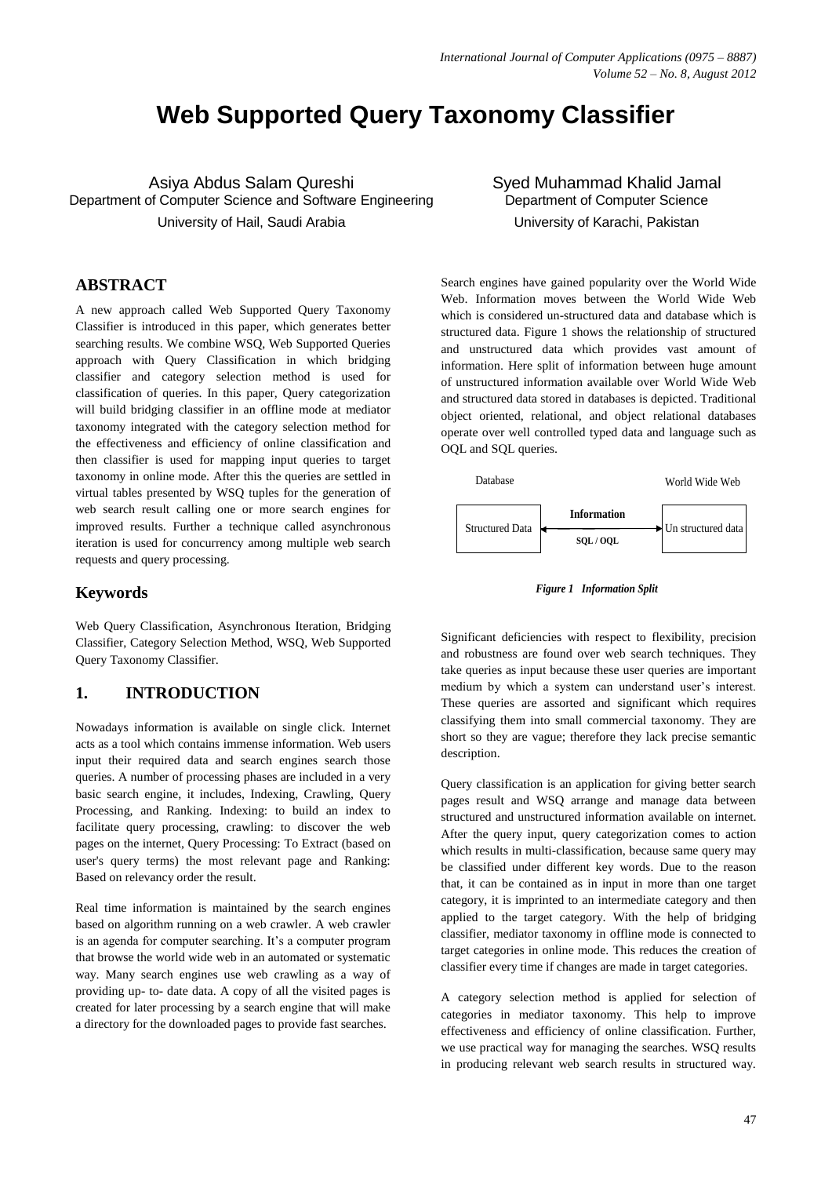# **Web Supported Query Taxonomy Classifier**

Asiya Abdus Salam Qureshi Department of Computer Science and Software Engineering University of Hail, Saudi Arabia

#### **ABSTRACT**

A new approach called Web Supported Query Taxonomy Classifier is introduced in this paper, which generates better searching results. We combine WSQ, Web Supported Queries approach with Query Classification in which bridging classifier and category selection method is used for classification of queries. In this paper, Query categorization will build bridging classifier in an offline mode at mediator taxonomy integrated with the category selection method for the effectiveness and efficiency of online classification and then classifier is used for mapping input queries to target taxonomy in online mode. After this the queries are settled in virtual tables presented by WSQ tuples for the generation of web search result calling one or more search engines for improved results. Further a technique called asynchronous iteration is used for concurrency among multiple web search requests and query processing.

#### **Keywords**

Web Query Classification, Asynchronous Iteration, Bridging Classifier, Category Selection Method, WSQ, Web Supported Query Taxonomy Classifier.

#### **1. INTRODUCTION**

Nowadays information is available on single click. Internet acts as a tool which contains immense information. Web users input their required data and search engines search those queries. A number of processing phases are included in a very basic search engine, it includes, Indexing, Crawling, Query Processing, and Ranking. Indexing: to build an index to facilitate query processing, crawling: to discover the web pages on the internet, Query Processing: To Extract (based on user's query terms) the most relevant page and Ranking: Based on relevancy order the result.

Real time information is maintained by the search engines based on algorithm running on a web crawler. A web crawler is an agenda for computer searching. It's a computer program that browse the world wide web in an automated or systematic way. Many search engines use web crawling as a way of providing up- to- date data. A copy of all the visited pages is created for later processing by a search engine that will make a directory for the downloaded pages to provide fast searches.

Syed Muhammad Khalid Jamal Department of Computer Science University of Karachi, Pakistan

Search engines have gained popularity over the World Wide Web. Information moves between the World Wide Web which is considered un-structured data and database which is structured data. Figure 1 shows the relationship of structured and unstructured data which provides vast amount of information. Here split of information between huge amount of unstructured information available over World Wide Web and structured data stored in databases is depicted. Traditional object oriented, relational, and object relational databases operate over well controlled typed data and language such as OQL and SQL queries.



*Figure 1 Information Split*

Significant deficiencies with respect to flexibility, precision and robustness are found over web search techniques. They take queries as input because these user queries are important medium by which a system can understand user's interest. These queries are assorted and significant which requires classifying them into small commercial taxonomy. They are short so they are vague; therefore they lack precise semantic description.

Query classification is an application for giving better search pages result and WSQ arrange and manage data between structured and unstructured information available on internet. After the query input, query categorization comes to action which results in multi-classification, because same query may be classified under different key words. Due to the reason that, it can be contained as in input in more than one target category, it is imprinted to an intermediate category and then applied to the target category. With the help of bridging classifier, mediator taxonomy in offline mode is connected to target categories in online mode. This reduces the creation of classifier every time if changes are made in target categories.

A category selection method is applied for selection of categories in mediator taxonomy. This help to improve effectiveness and efficiency of online classification. Further, we use practical way for managing the searches. WSQ results in producing relevant web search results in structured way.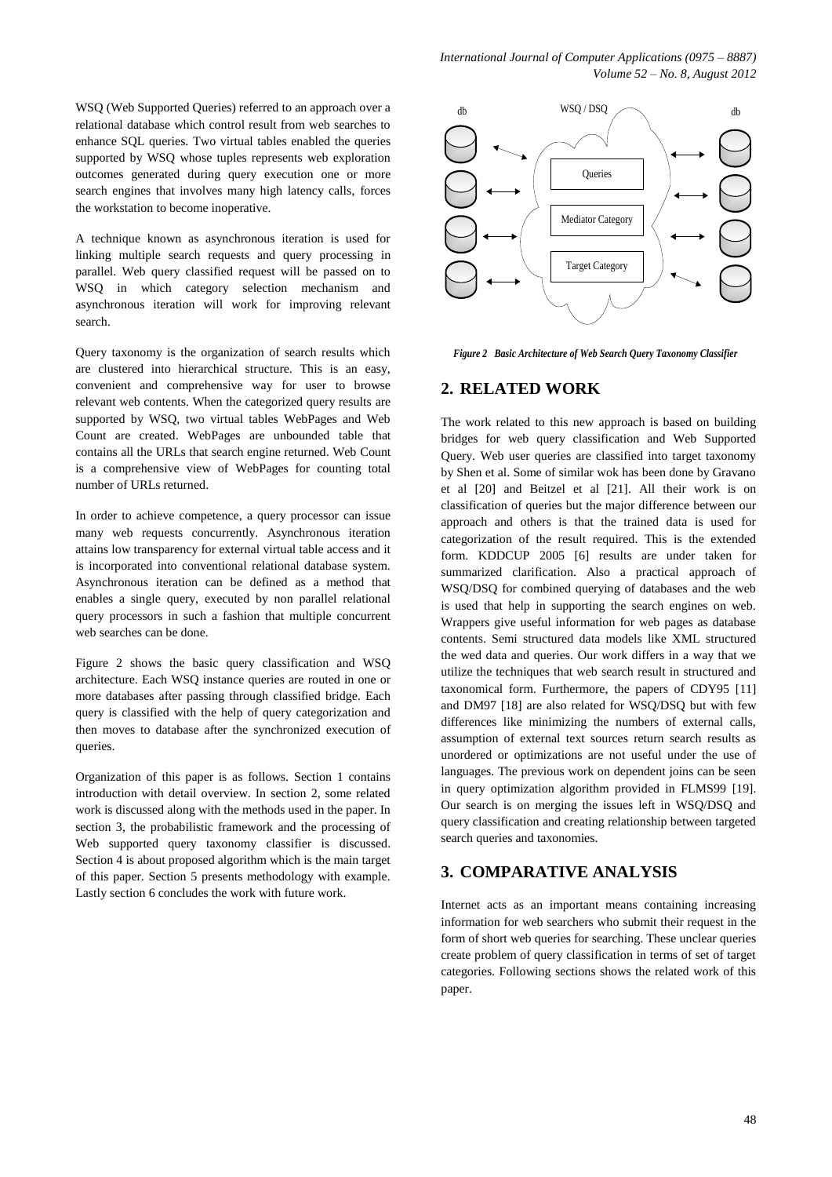WSQ (Web Supported Queries) referred to an approach over a relational database which control result from web searches to enhance SQL queries. Two virtual tables enabled the queries supported by WSQ whose tuples represents web exploration outcomes generated during query execution one or more search engines that involves many high latency calls, forces the workstation to become inoperative.

A technique known as asynchronous iteration is used for linking multiple search requests and query processing in parallel. Web query classified request will be passed on to WSQ in which category selection mechanism and asynchronous iteration will work for improving relevant search.

Query taxonomy is the organization of search results which are clustered into hierarchical structure. This is an easy, convenient and comprehensive way for user to browse relevant web contents. When the categorized query results are supported by WSQ, two virtual tables WebPages and Web Count are created. WebPages are unbounded table that contains all the URLs that search engine returned. Web Count is a comprehensive view of WebPages for counting total number of URLs returned.

In order to achieve competence, a query processor can issue many web requests concurrently. Asynchronous iteration attains low transparency for external virtual table access and it is incorporated into conventional relational database system. Asynchronous iteration can be defined as a method that enables a single query, executed by non parallel relational query processors in such a fashion that multiple concurrent web searches can be done.

Figure 2 shows the basic query classification and WSQ architecture. Each WSQ instance queries are routed in one or more databases after passing through classified bridge. Each query is classified with the help of query categorization and then moves to database after the synchronized execution of queries.

Organization of this paper is as follows. Section 1 contains introduction with detail overview. In section 2, some related work is discussed along with the methods used in the paper. In section 3, the probabilistic framework and the processing of Web supported query taxonomy classifier is discussed. Section 4 is about proposed algorithm which is the main target of this paper. Section 5 presents methodology with example. Lastly section 6 concludes the work with future work.



*Figure 2 Basic Architecture of Web Search Query Taxonomy Classifier*

## **2. RELATED WORK**

The work related to this new approach is based on building bridges for web query classification and Web Supported Query. Web user queries are classified into target taxonomy by Shen et al. Some of similar wok has been done by Gravano et al [20] and Beitzel et al [21]. All their work is on classification of queries but the major difference between our approach and others is that the trained data is used for categorization of the result required. This is the extended form. KDDCUP 2005 [6] results are under taken for summarized clarification. Also a practical approach of WSQ/DSQ for combined querying of databases and the web is used that help in supporting the search engines on web. Wrappers give useful information for web pages as database contents. Semi structured data models like XML structured the wed data and queries. Our work differs in a way that we utilize the techniques that web search result in structured and taxonomical form. Furthermore, the papers of CDY95 [11] and DM97 [18] are also related for WSQ/DSQ but with few differences like minimizing the numbers of external calls, assumption of external text sources return search results as unordered or optimizations are not useful under the use of languages. The previous work on dependent joins can be seen in query optimization algorithm provided in FLMS99 [19]. Our search is on merging the issues left in WSQ/DSQ and query classification and creating relationship between targeted search queries and taxonomies.

#### **3. COMPARATIVE ANALYSIS**

Internet acts as an important means containing increasing information for web searchers who submit their request in the form of short web queries for searching. These unclear queries create problem of query classification in terms of set of target categories. Following sections shows the related work of this paper.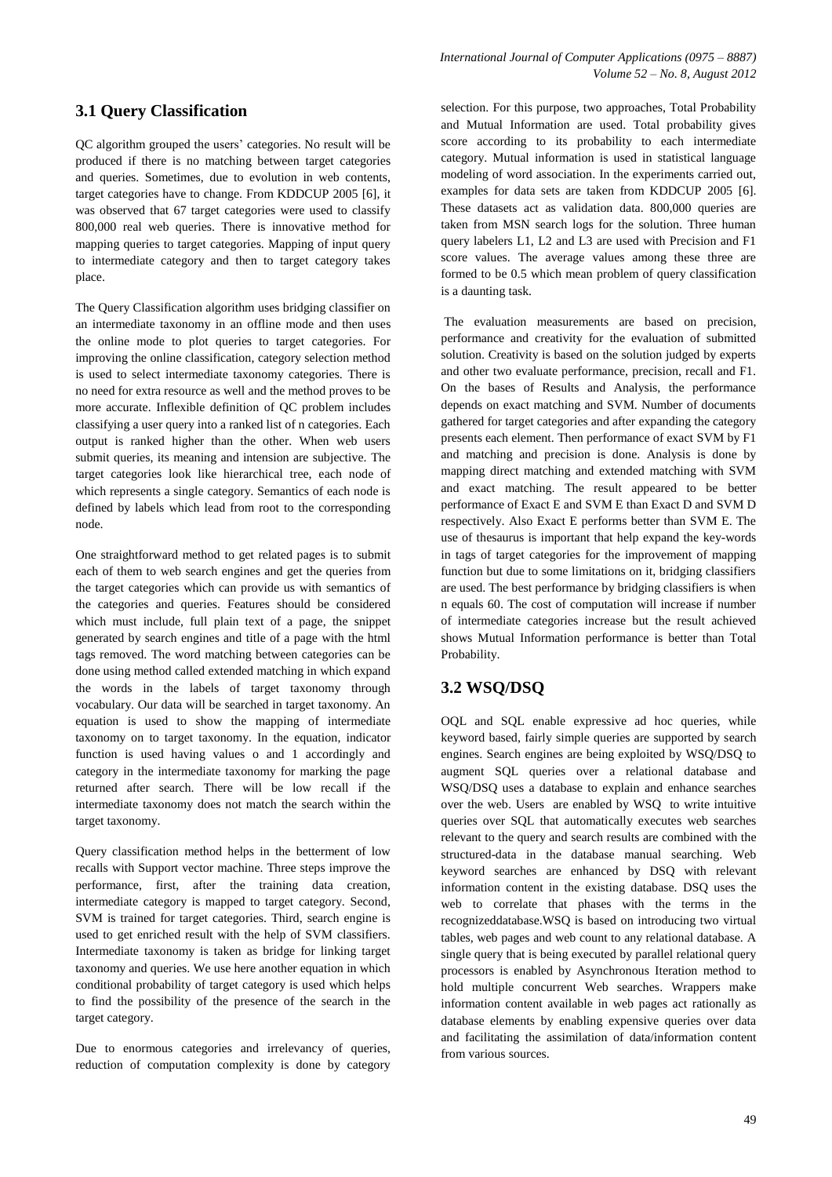*International Journal of Computer Applications (0975 – 8887) Volume 52 – No. 8, August 2012*

# **3.1 Query Classification**

QC algorithm grouped the users' categories. No result will be produced if there is no matching between target categories and queries. Sometimes, due to evolution in web contents, target categories have to change. From KDDCUP 2005 [6], it was observed that 67 target categories were used to classify 800,000 real web queries. There is innovative method for mapping queries to target categories. Mapping of input query to intermediate category and then to target category takes place.

The Query Classification algorithm uses bridging classifier on an intermediate taxonomy in an offline mode and then uses the online mode to plot queries to target categories. For improving the online classification, category selection method is used to select intermediate taxonomy categories. There is no need for extra resource as well and the method proves to be more accurate. Inflexible definition of QC problem includes classifying a user query into a ranked list of n categories. Each output is ranked higher than the other. When web users submit queries, its meaning and intension are subjective. The target categories look like hierarchical tree, each node of which represents a single category. Semantics of each node is defined by labels which lead from root to the corresponding node.

One straightforward method to get related pages is to submit each of them to web search engines and get the queries from the target categories which can provide us with semantics of the categories and queries. Features should be considered which must include, full plain text of a page, the snippet generated by search engines and title of a page with the html tags removed. The word matching between categories can be done using method called extended matching in which expand the words in the labels of target taxonomy through vocabulary. Our data will be searched in target taxonomy. An equation is used to show the mapping of intermediate taxonomy on to target taxonomy. In the equation, indicator function is used having values o and 1 accordingly and category in the intermediate taxonomy for marking the page returned after search. There will be low recall if the intermediate taxonomy does not match the search within the target taxonomy.

Query classification method helps in the betterment of low recalls with Support vector machine. Three steps improve the performance, first, after the training data creation, intermediate category is mapped to target category. Second, SVM is trained for target categories. Third, search engine is used to get enriched result with the help of SVM classifiers. Intermediate taxonomy is taken as bridge for linking target taxonomy and queries. We use here another equation in which conditional probability of target category is used which helps to find the possibility of the presence of the search in the target category.

Due to enormous categories and irrelevancy of queries, reduction of computation complexity is done by category

selection. For this purpose, two approaches, Total Probability and Mutual Information are used. Total probability gives score according to its probability to each intermediate category. Mutual information is used in statistical language modeling of word association. In the experiments carried out, examples for data sets are taken from KDDCUP 2005 [6]. These datasets act as validation data. 800,000 queries are taken from MSN search logs for the solution. Three human query labelers L1, L2 and L3 are used with Precision and F1 score values. The average values among these three are formed to be 0.5 which mean problem of query classification is a daunting task.

The evaluation measurements are based on precision, performance and creativity for the evaluation of submitted solution. Creativity is based on the solution judged by experts and other two evaluate performance, precision, recall and F1. On the bases of Results and Analysis, the performance depends on exact matching and SVM. Number of documents gathered for target categories and after expanding the category presents each element. Then performance of exact SVM by F1 and matching and precision is done. Analysis is done by mapping direct matching and extended matching with SVM and exact matching. The result appeared to be better performance of Exact E and SVM E than Exact D and SVM D respectively. Also Exact E performs better than SVM E. The use of thesaurus is important that help expand the key-words in tags of target categories for the improvement of mapping function but due to some limitations on it, bridging classifiers are used. The best performance by bridging classifiers is when n equals 60. The cost of computation will increase if number of intermediate categories increase but the result achieved shows Mutual Information performance is better than Total Probability.

# **3.2 WSQ/DSQ**

OQL and SQL enable expressive ad hoc queries, while keyword based, fairly simple queries are supported by search engines. Search engines are being exploited by WSQ/DSQ to augment SQL queries over a relational database and WSQ/DSQ uses a database to explain and enhance searches over the web. Users are enabled by WSQ to write intuitive queries over SQL that automatically executes web searches relevant to the query and search results are combined with the structured-data in the database manual searching. Web keyword searches are enhanced by DSQ with relevant information content in the existing database. DSQ uses the web to correlate that phases with the terms in the recognizeddatabase.WSQ is based on introducing two virtual tables, web pages and web count to any relational database. A single query that is being executed by parallel relational query processors is enabled by Asynchronous Iteration method to hold multiple concurrent Web searches. Wrappers make information content available in web pages act rationally as database elements by enabling expensive queries over data and facilitating the assimilation of data/information content from various sources.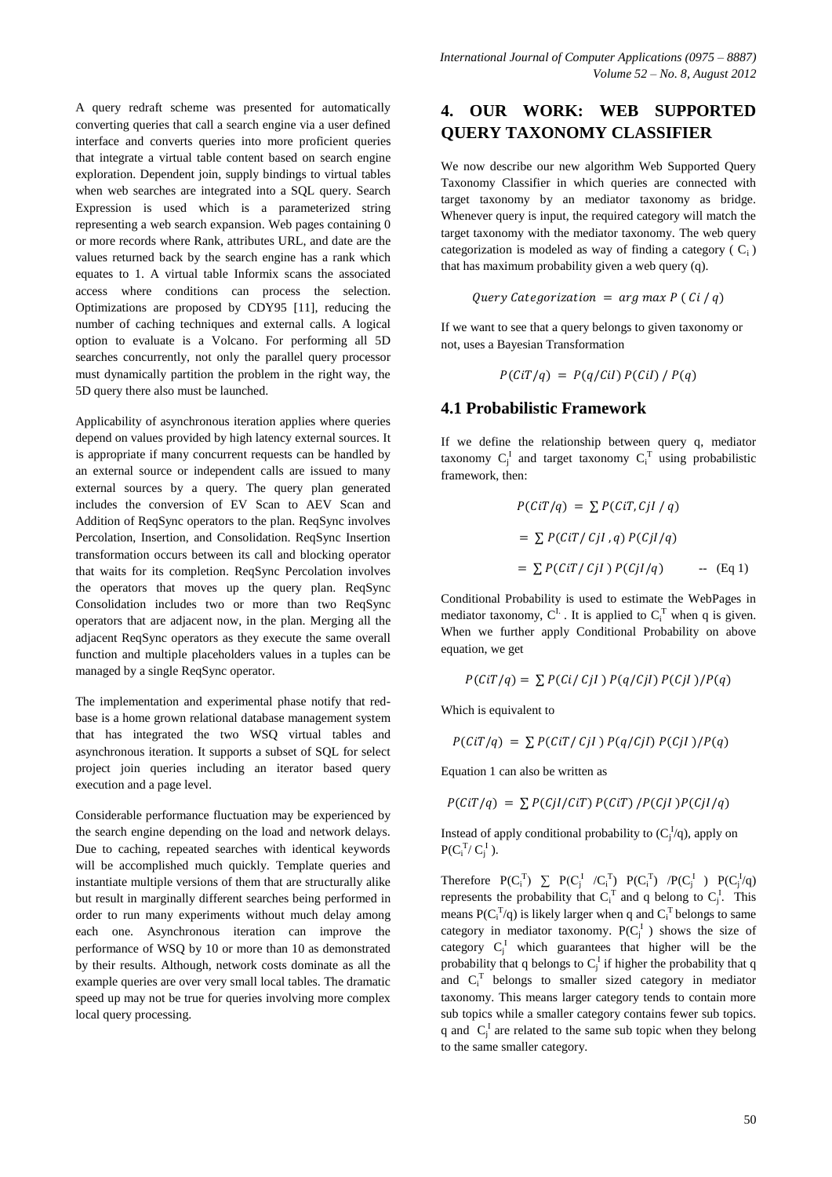A query redraft scheme was presented for automatically converting queries that call a search engine via a user defined interface and converts queries into more proficient queries that integrate a virtual table content based on search engine exploration. Dependent join, supply bindings to virtual tables when web searches are integrated into a SQL query. Search Expression is used which is a parameterized string representing a web search expansion. Web pages containing 0 or more records where Rank, attributes URL, and date are the values returned back by the search engine has a rank which equates to 1. A virtual table Informix scans the associated access where conditions can process the selection. Optimizations are proposed by CDY95 [11], reducing the number of caching techniques and external calls. A logical option to evaluate is a Volcano. For performing all 5D searches concurrently, not only the parallel query processor must dynamically partition the problem in the right way, the 5D query there also must be launched.

Applicability of asynchronous iteration applies where queries depend on values provided by high latency external sources. It is appropriate if many concurrent requests can be handled by an external source or independent calls are issued to many external sources by a query. The query plan generated includes the conversion of EV Scan to AEV Scan and Addition of ReqSync operators to the plan. ReqSync involves Percolation, Insertion, and Consolidation. ReqSync Insertion transformation occurs between its call and blocking operator that waits for its completion. ReqSync Percolation involves the operators that moves up the query plan. ReqSync Consolidation includes two or more than two ReqSync operators that are adjacent now, in the plan. Merging all the adjacent ReqSync operators as they execute the same overall function and multiple placeholders values in a tuples can be managed by a single ReqSync operator.

The implementation and experimental phase notify that redbase is a home grown relational database management system that has integrated the two WSQ virtual tables and asynchronous iteration. It supports a subset of SQL for select project join queries including an iterator based query execution and a page level.

Considerable performance fluctuation may be experienced by the search engine depending on the load and network delays. Due to caching, repeated searches with identical keywords will be accomplished much quickly. Template queries and instantiate multiple versions of them that are structurally alike but result in marginally different searches being performed in order to run many experiments without much delay among each one. Asynchronous iteration can improve the performance of WSQ by 10 or more than 10 as demonstrated by their results. Although, network costs dominate as all the example queries are over very small local tables. The dramatic speed up may not be true for queries involving more complex local query processing.

# **4. OUR WORK: WEB SUPPORTED QUERY TAXONOMY CLASSIFIER**

We now describe our new algorithm Web Supported Query Taxonomy Classifier in which queries are connected with target taxonomy by an mediator taxonomy as bridge. Whenever query is input, the required category will match the target taxonomy with the mediator taxonomy. The web query categorization is modeled as way of finding a category  $(C_i)$ that has maximum probability given a web query (q).

$$
Query\;Categorization = arg\;max\;P\;(\;Ci\;/\;q)
$$

If we want to see that a query belongs to given taxonomy or not, uses a Bayesian Transformation

$$
P(CiT/q) = P(q/Cil) P(Cil) / P(q)
$$

#### **4.1 Probabilistic Framework**

If we define the relationship between query q, mediator taxonomy  $C_i^I$  and target taxonomy  $C_i^T$  using probabilistic framework, then:

$$
P(CiT/q) = \sum P(CiT, Cjl / q)
$$
  
= 
$$
\sum P(CiT / Cjl, q) P(Cjl/q)
$$
  
= 
$$
\sum P(CiT / Cjl) P(Cjl/q)
$$
 -- (Eq 1)

Conditional Probability is used to estimate the WebPages in mediator taxonomy,  $C^L$ . It is applied to  $C_i^T$  when q is given. When we further apply Conditional Probability on above equation, we get

$$
P(CiT/q) = \sum P(Ci/CjI) P(q/CjI) P(CjI)/P(q)
$$

Which is equivalent to

$$
P(CiT/q) = \sum P(CiT/Cjl) P(q/Cjl) P(Cjl) / P(q)
$$

Equation 1 can also be written as

 $P(CiT/q) = \sum P(CjI/CiT) P(CiT) / P(CjI) P(CjI/q)$ 

Instead of apply conditional probability to  $(C_j^I/q)$ , apply on  $P(C_i^T/C_j^I)$ .

Therefore  $P(C_i^T) \sum P(C_i^T / C_i^T) P(C_i^T) / P(C_i^T) P(C_i^T)$ represents the probability that  $C_i^T$  and q belong to  $C_j^T$ . This means  $P(C_i^T/q)$  is likely larger when q and  $C_i^T$  belongs to same category in mediator taxonomy.  $P(C_j^I)$  shows the size of category  $C_j^I$  which guarantees that higher will be the probability that q belongs to  $C_i^I$  if higher the probability that q and C<sub>i</sub><sup>T</sup> belongs to smaller sized category in mediator taxonomy. This means larger category tends to contain more sub topics while a smaller category contains fewer sub topics. q and  $C_i^I$  are related to the same sub topic when they belong to the same smaller category.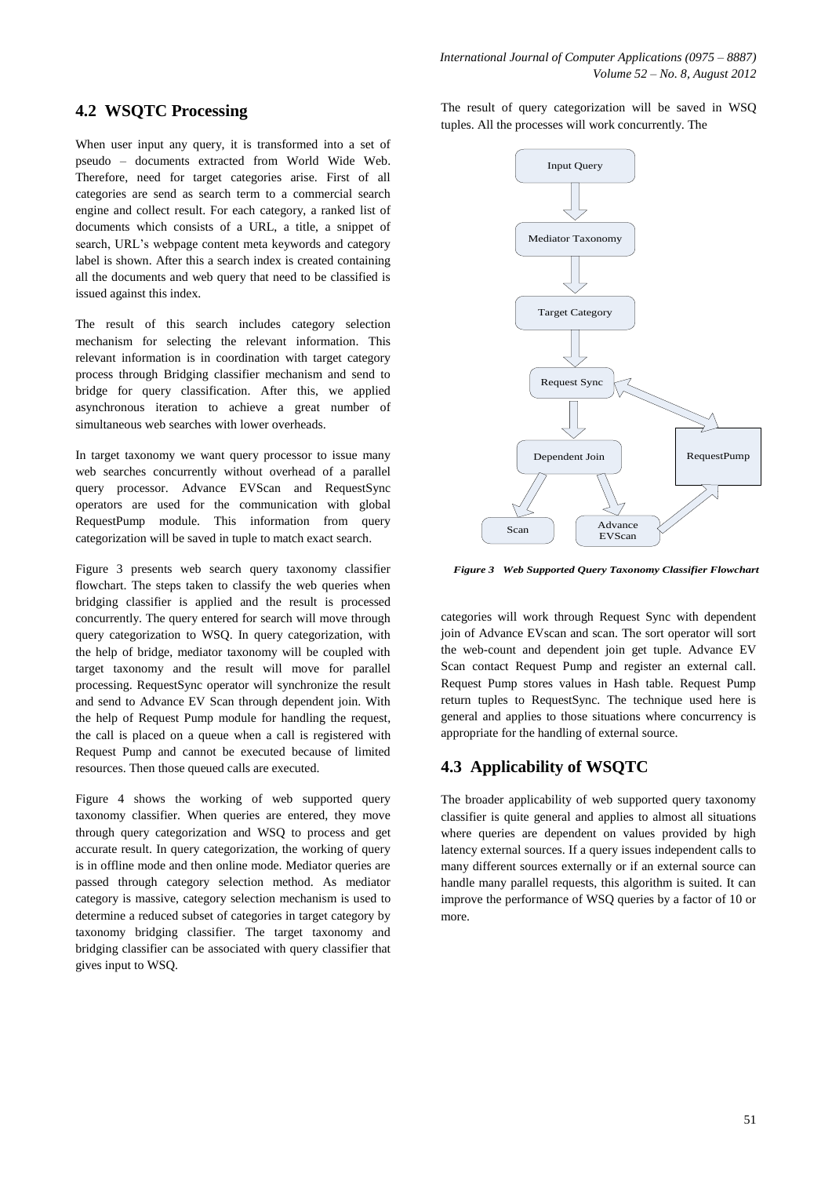# **4.2 WSQTC Processing**

When user input any query, it is transformed into a set of pseudo – documents extracted from World Wide Web. Therefore, need for target categories arise. First of all categories are send as search term to a commercial search engine and collect result. For each category, a ranked list of documents which consists of a URL, a title, a snippet of search, URL's webpage content meta keywords and category label is shown. After this a search index is created containing all the documents and web query that need to be classified is issued against this index.

The result of this search includes category selection mechanism for selecting the relevant information. This relevant information is in coordination with target category process through Bridging classifier mechanism and send to bridge for query classification. After this, we applied asynchronous iteration to achieve a great number of simultaneous web searches with lower overheads.

In target taxonomy we want query processor to issue many web searches concurrently without overhead of a parallel query processor. Advance EVScan and RequestSync operators are used for the communication with global RequestPump module. This information from query categorization will be saved in tuple to match exact search.

Figure 3 presents web search query taxonomy classifier flowchart. The steps taken to classify the web queries when bridging classifier is applied and the result is processed concurrently. The query entered for search will move through query categorization to WSQ. In query categorization, with the help of bridge, mediator taxonomy will be coupled with target taxonomy and the result will move for parallel processing. RequestSync operator will synchronize the result and send to Advance EV Scan through dependent join. With the help of Request Pump module for handling the request, the call is placed on a queue when a call is registered with Request Pump and cannot be executed because of limited resources. Then those queued calls are executed.

Figure 4 shows the working of web supported query taxonomy classifier. When queries are entered, they move through query categorization and WSQ to process and get accurate result. In query categorization, the working of query is in offline mode and then online mode. Mediator queries are passed through category selection method. As mediator category is massive, category selection mechanism is used to determine a reduced subset of categories in target category by taxonomy bridging classifier. The target taxonomy and bridging classifier can be associated with query classifier that gives input to WSQ.

The result of query categorization will be saved in WSQ tuples. All the processes will work concurrently. The



*Figure 3 Web Supported Query Taxonomy Classifier Flowchart*

categories will work through Request Sync with dependent join of Advance EVscan and scan. The sort operator will sort the web-count and dependent join get tuple. Advance EV Scan contact Request Pump and register an external call. Request Pump stores values in Hash table. Request Pump return tuples to RequestSync. The technique used here is general and applies to those situations where concurrency is appropriate for the handling of external source.

# **4.3 Applicability of WSQTC**

The broader applicability of web supported query taxonomy classifier is quite general and applies to almost all situations where queries are dependent on values provided by high latency external sources. If a query issues independent calls to many different sources externally or if an external source can handle many parallel requests, this algorithm is suited. It can improve the performance of WSQ queries by a factor of 10 or more.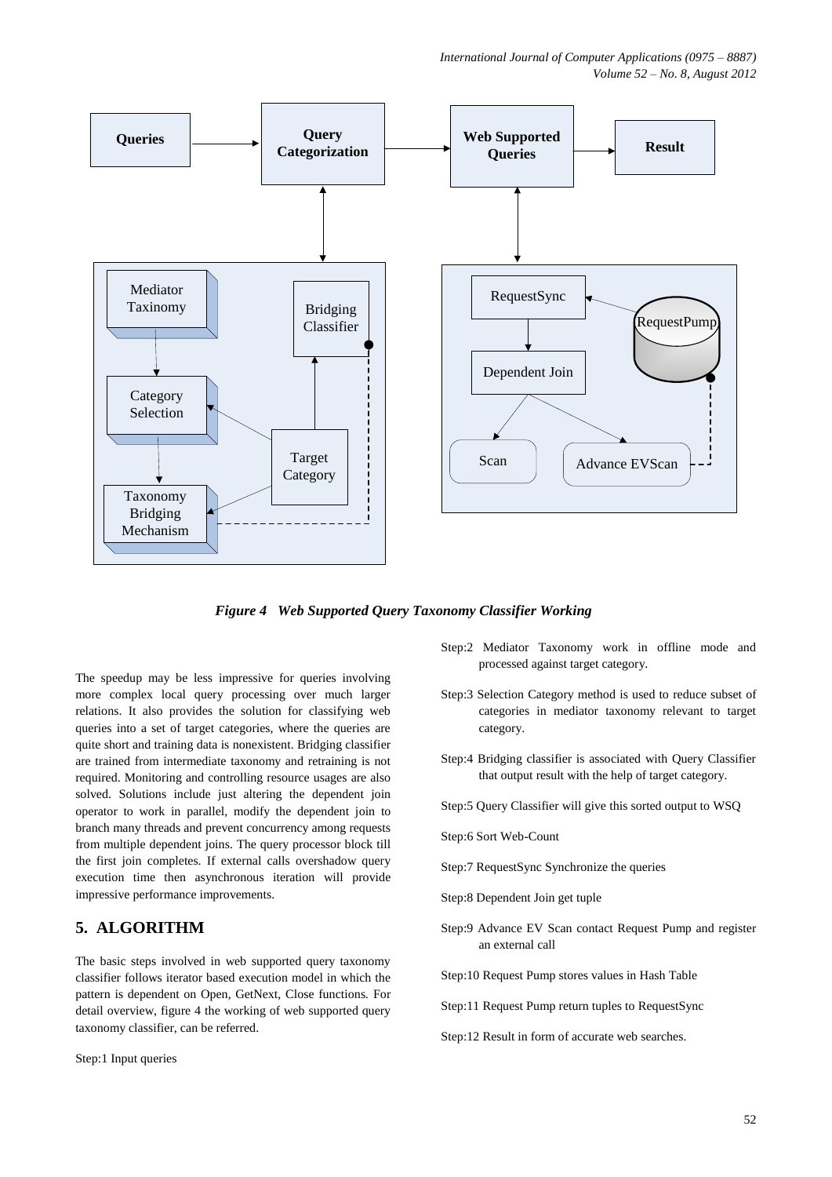*International Journal of Computer Applications (0975 – 8887) Volume 52 – No. 8, August 2012*



*Figure 4 Web Supported Query Taxonomy Classifier Working*

The speedup may be less impressive for queries involving more complex local query processing over much larger relations. It also provides the solution for classifying web queries into a set of target categories, where the queries are quite short and training data is nonexistent. Bridging classifier are trained from intermediate taxonomy and retraining is not required. Monitoring and controlling resource usages are also solved. Solutions include just altering the dependent join operator to work in parallel, modify the dependent join to branch many threads and prevent concurrency among requests from multiple dependent joins. The query processor block till the first join completes. If external calls overshadow query execution time then asynchronous iteration will provide impressive performance improvements.

# **5. ALGORITHM**

The basic steps involved in web supported query taxonomy classifier follows iterator based execution model in which the pattern is dependent on Open, GetNext, Close functions. For detail overview, figure 4 the working of web supported query taxonomy classifier, can be referred.

Step:1 Input queries

- Step:2 Mediator Taxonomy work in offline mode and processed against target category.
- Step:3 Selection Category method is used to reduce subset of categories in mediator taxonomy relevant to target category.
- Step:4 Bridging classifier is associated with Query Classifier that output result with the help of target category.
- Step:5 Query Classifier will give this sorted output to WSQ
- Step:6 Sort Web-Count
- Step:7 RequestSync Synchronize the queries
- Step:8 Dependent Join get tuple
- Step:9 Advance EV Scan contact Request Pump and register an external call
- Step:10 Request Pump stores values in Hash Table
- Step:11 Request Pump return tuples to RequestSync
- Step:12 Result in form of accurate web searches.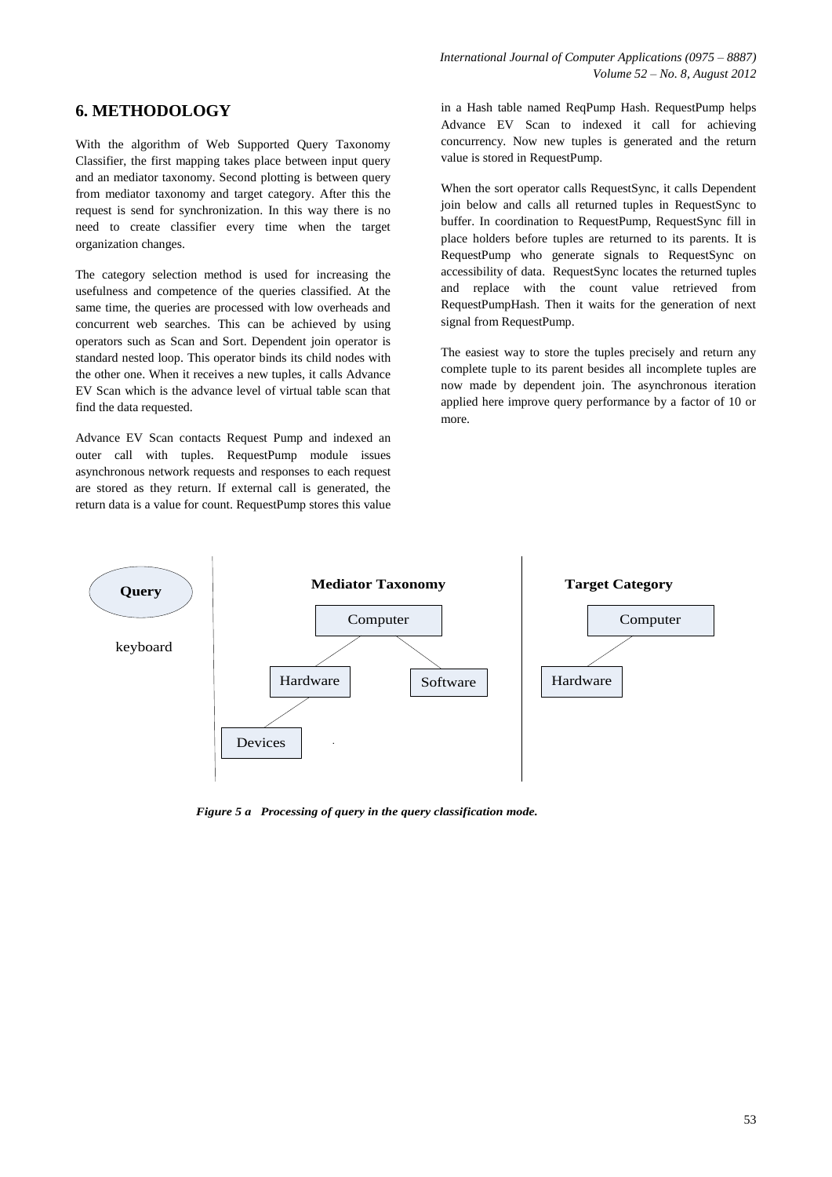# **6. METHODOLOGY**

With the algorithm of Web Supported Query Taxonomy Classifier, the first mapping takes place between input query and an mediator taxonomy. Second plotting is between query from mediator taxonomy and target category. After this the request is send for synchronization. In this way there is no need to create classifier every time when the target organization changes.

The category selection method is used for increasing the usefulness and competence of the queries classified. At the same time, the queries are processed with low overheads and concurrent web searches. This can be achieved by using operators such as Scan and Sort. Dependent join operator is standard nested loop. This operator binds its child nodes with the other one. When it receives a new tuples, it calls Advance EV Scan which is the advance level of virtual table scan that find the data requested.

Advance EV Scan contacts Request Pump and indexed an outer call with tuples. RequestPump module issues asynchronous network requests and responses to each request are stored as they return. If external call is generated, the return data is a value for count. RequestPump stores this value

in a Hash table named ReqPump Hash. RequestPump helps Advance EV Scan to indexed it call for achieving concurrency. Now new tuples is generated and the return value is stored in RequestPump.

When the sort operator calls RequestSync, it calls Dependent join below and calls all returned tuples in RequestSync to buffer. In coordination to RequestPump, RequestSync fill in place holders before tuples are returned to its parents. It is RequestPump who generate signals to RequestSync on accessibility of data. RequestSync locates the returned tuples and replace with the count value retrieved from RequestPumpHash. Then it waits for the generation of next signal from RequestPump.

The easiest way to store the tuples precisely and return any complete tuple to its parent besides all incomplete tuples are now made by dependent join. The asynchronous iteration applied here improve query performance by a factor of 10 or more.



*Figure 5 a Processing of query in the query classification mode.*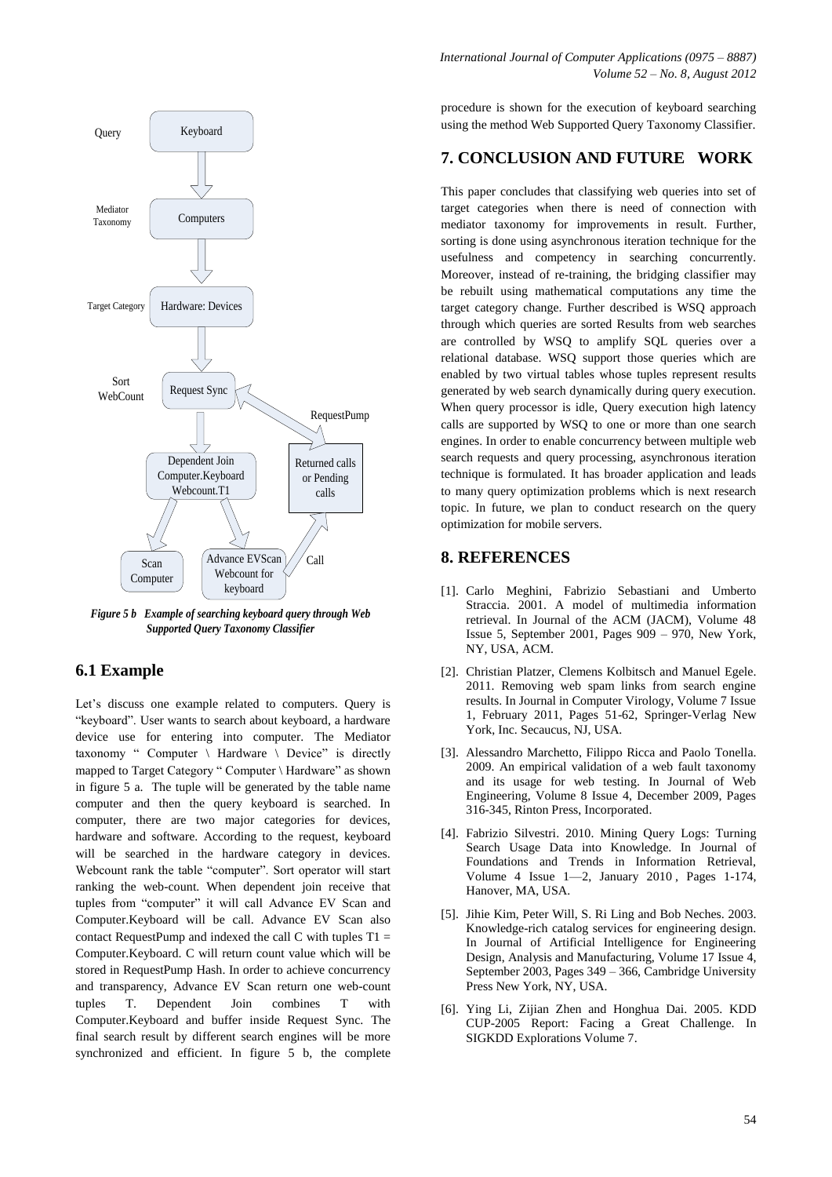

*Figure 5 b Example of searching keyboard query through Web Supported Query Taxonomy Classifier*

#### **6.1 Example**

Let's discuss one example related to computers. Query is "keyboard". User wants to search about keyboard, a hardware device use for entering into computer. The Mediator taxonomy " Computer \ Hardware \ Device" is directly mapped to Target Category " Computer \ Hardware" as shown in figure 5 a. The tuple will be generated by the table name computer and then the query keyboard is searched. In computer, there are two major categories for devices, hardware and software. According to the request, keyboard will be searched in the hardware category in devices. Webcount rank the table "computer". Sort operator will start ranking the web-count. When dependent join receive that tuples from "computer" it will call Advance EV Scan and Computer.Keyboard will be call. Advance EV Scan also contact RequestPump and indexed the call  $C$  with tuples  $T1 =$ Computer.Keyboard. C will return count value which will be stored in RequestPump Hash. In order to achieve concurrency and transparency, Advance EV Scan return one web-count tuples T. Dependent Join combines T with Computer.Keyboard and buffer inside Request Sync. The final search result by different search engines will be more synchronized and efficient. In figure 5 b, the complete

procedure is shown for the execution of keyboard searching using the method Web Supported Query Taxonomy Classifier.

# **7. CONCLUSION AND FUTURE WORK**

This paper concludes that classifying web queries into set of target categories when there is need of connection with mediator taxonomy for improvements in result. Further, sorting is done using asynchronous iteration technique for the usefulness and competency in searching concurrently. Moreover, instead of re-training, the bridging classifier may be rebuilt using mathematical computations any time the target category change. Further described is WSQ approach through which queries are sorted Results from web searches are controlled by WSQ to amplify SQL queries over a relational database. WSQ support those queries which are enabled by two virtual tables whose tuples represent results generated by web search dynamically during query execution. When query processor is idle, Query execution high latency calls are supported by WSQ to one or more than one search engines. In order to enable concurrency between multiple web search requests and query processing, asynchronous iteration technique is formulated. It has broader application and leads to many query optimization problems which is next research topic. In future, we plan to conduct research on the query optimization for mobile servers.

#### **8. REFERENCES**

- [1]. [Carlo Meghini,](http://dl.acm.org/author_page.cfm?id=81100532692&coll=DL&dl=ACM&trk=0&cfid=126994600&cftoken=62424574) [Fabrizio Sebastiani](http://dl.acm.org/author_page.cfm?id=81100172159&coll=DL&dl=ACM&trk=0&cfid=126994600&cftoken=62424574) and [Umberto](http://dl.acm.org/author_page.cfm?id=81100439141&coll=DL&dl=ACM&trk=0&cfid=126994600&cftoken=62424574)  [Straccia.](http://dl.acm.org/author_page.cfm?id=81100439141&coll=DL&dl=ACM&trk=0&cfid=126994600&cftoken=62424574) 2001. A model of multimedia information retrieval. In Journal of the ACM (JACM), Volume 48 Issue 5, September 2001, Pages 909 – 970, New York, NY, USA, ACM.
- [2]. [Christian Platzer,](http://dl.acm.org/author_page.cfm?id=81310490818&coll=DL&dl=ACM&trk=0&cfid=126994600&cftoken=62424574) [Clemens Kolbitsch](http://dl.acm.org/author_page.cfm?id=81467666038&coll=DL&dl=ACM&trk=0&cfid=126994600&cftoken=62424574) and [Manuel Egele.](http://dl.acm.org/author_page.cfm?id=81350601392&coll=DL&dl=ACM&trk=0&cfid=126994600&cftoken=62424574) 2011. Removing web spam links from search engine results. In Journal in Computer Virology, Volume 7 Issue 1, February 2011, Pages 51-62, Springer-Verlag New York, Inc. Secaucus, NJ, USA.
- [3]. [Alessandro Marchetto,](http://dl.acm.org/author_page.cfm?id=81100014779&coll=DL&dl=ACM&trk=0&cfid=126994600&cftoken=62424574) [Filippo Ricca](http://dl.acm.org/author_page.cfm?id=81335496522&coll=DL&dl=ACM&trk=0&cfid=126994600&cftoken=62424574) and [Paolo Tonella.](http://dl.acm.org/author_page.cfm?id=81100462032&coll=DL&dl=ACM&trk=0&cfid=126994600&cftoken=62424574) 2009. An empirical validation of a web fault taxonomy and its usage for web testing. In Journal of Web Engineering, Volume 8 Issue 4, December 2009, Pages 316-345, Rinton Press, Incorporated.
- [4]. [Fabrizio Silvestri.](http://dl.acm.org/author_page.cfm?id=81100246585&coll=DL&dl=ACM&trk=0&cfid=126994600&cftoken=62424574) 2010. Mining Query Logs: Turning Search Usage Data into Knowledge. In Journal of Foundations and Trends in Information Retrieval, Volume 4 Issue 1—2, January 2010 , Pages 1-174, Hanover, MA, USA.
- [5]. [Jihie Kim,](http://dl.acm.org/author_page.cfm?id=81452618660&coll=DL&dl=ACM&trk=0&cfid=126994600&cftoken=62424574) [Peter Will,](http://dl.acm.org/author_page.cfm?id=81332535746&coll=DL&dl=ACM&trk=0&cfid=126994600&cftoken=62424574) [S. Ri Ling](http://dl.acm.org/author_page.cfm?id=81451593305&coll=DL&dl=ACM&trk=0&cfid=126994600&cftoken=62424574) and Bob Neches. 2003. Knowledge-rich catalog services for engineering design. In Journal of Artificial Intelligence for Engineering Design, Analysis and Manufacturing, Volume 17 Issue 4, September 2003, Pages 349 – 366, Cambridge University Press New York, NY, USA.
- [6]. Ying Li, Zijian Zhen and Honghua Dai. 2005. KDD CUP-2005 Report: Facing a Great Challenge. In SIGKDD Explorations Volume 7.